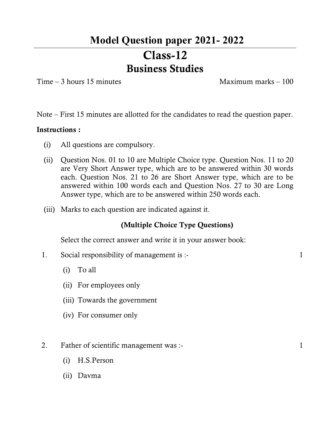## **Model Question paper 2021- 2022**

# **Class-12 Business Studies**

 $Time - 3 hours 15 minutes$  Maximum marks – 100

Note – First 15 minutes are allotted for the candidates to read the question paper.

### **Instructions :**

- (i) All questions are compulsory.
- (ii) Question Nos. 01 to 10 are Multiple Choice type. Question Nos. 11 to 20 are Very Short Answer type, which are to be answered within 30 words each. Question Nos. 21 to 26 are Short Answer type, which are to be answered within 100 words each and Question Nos. 27 to 30 are Long Answer type, which are to be answered within 250 words each.
- (iii) Marks to each question are indicated against it.

### **(Multiple Choice Type Questions)**

Select the correct answer and write it in your answer book:

- 1. Social responsibility of management is :- 1
	- (i) To all
	- (ii) For employees only
	- (iii) Towards the government
	- (iv) For consumer only
- 2. Father of scientific management was :- 1
	- (i) H.S.Person
	- (ii) Davma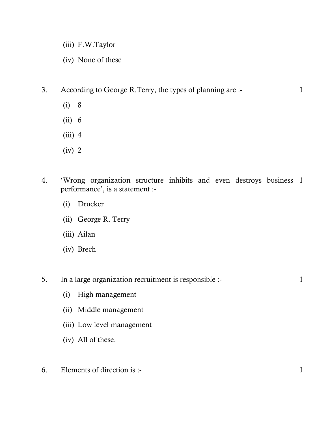- (iii) F.W.Taylor
- (iv) None of these
- 3. According to George R.Terry, the types of planning are :- 1
	- (i) 8
	- (ii) 6
	- $(iii)$  4
	- (iv) 2
- 4. 'Wrong organization structure inhibits and even destroys business 1 performance', is a statement :-
	- (i) Drucker
	- (ii) George R. Terry
	- (iii) Ailan
	- (iv) Brech
- 5. In a large organization recruitment is responsible :- 1
	- (i) High management
	- (ii) Middle management
	- (iii) Low level management
	- (iv) All of these.
- $6.$  Elements of direction is :- 1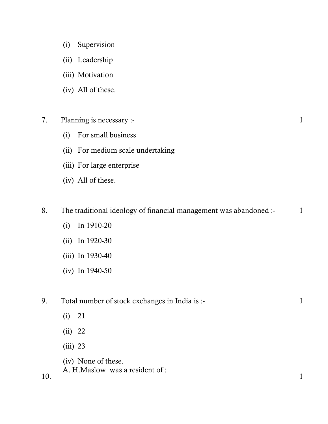- (i) Supervision
- (ii) Leadership
- (iii) Motivation
- (iv) All of these.
- 7. Planning is necessary :- 1
	- (i) For small business
	- (ii) For medium scale undertaking
	- (iii) For large enterprise
	- (iv) All of these.

8. The traditional ideology of financial management was abandoned :- 1

1

- (i) In 1910-20
- (ii) In 1920-30
- (iii) In 1930-40
- (iv) In 1940-50

9. Total number of stock exchanges in India is :- 1

- (i) 21
- (ii) 22
- (iii) 23

(iv) None of these.

A. H.Maslow was a resident of :

10.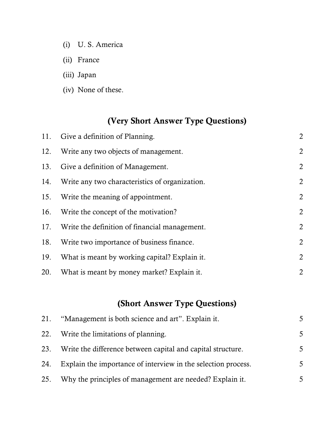- (i) U. S. America
- (ii) France
- (iii) Japan
- (iv) None of these.

## **(Very Short Answer Type Questions)**

|     | 11. Give a definition of Planning.                 | $\overline{2}$ |
|-----|----------------------------------------------------|----------------|
| 12. | Write any two objects of management.               | $\overline{2}$ |
|     | 13. Give a definition of Management.               | $\overline{2}$ |
|     | 14. Write any two characteristics of organization. | $\overline{2}$ |
|     | 15. Write the meaning of appointment.              | $\overline{2}$ |
|     | 16. Write the concept of the motivation?           | $\overline{2}$ |
|     | 17. Write the definition of financial management.  | $\overline{2}$ |
| 18. | Write two importance of business finance.          | $\overline{2}$ |
| 19. | What is meant by working capital? Explain it.      | $\overline{2}$ |
|     | 20. What is meant by money market? Explain it.     | $\overline{2}$ |

## **(Short Answer Type Questions)**

| 21. | "Management is both science and art". Explain it.             |   |
|-----|---------------------------------------------------------------|---|
|     | 22. Write the limitations of planning.                        | 5 |
| 23. | Write the difference between capital and capital structure.   | 5 |
| 24. | Explain the importance of interview in the selection process. | 5 |
| 25. | Why the principles of management are needed? Explain it.      |   |